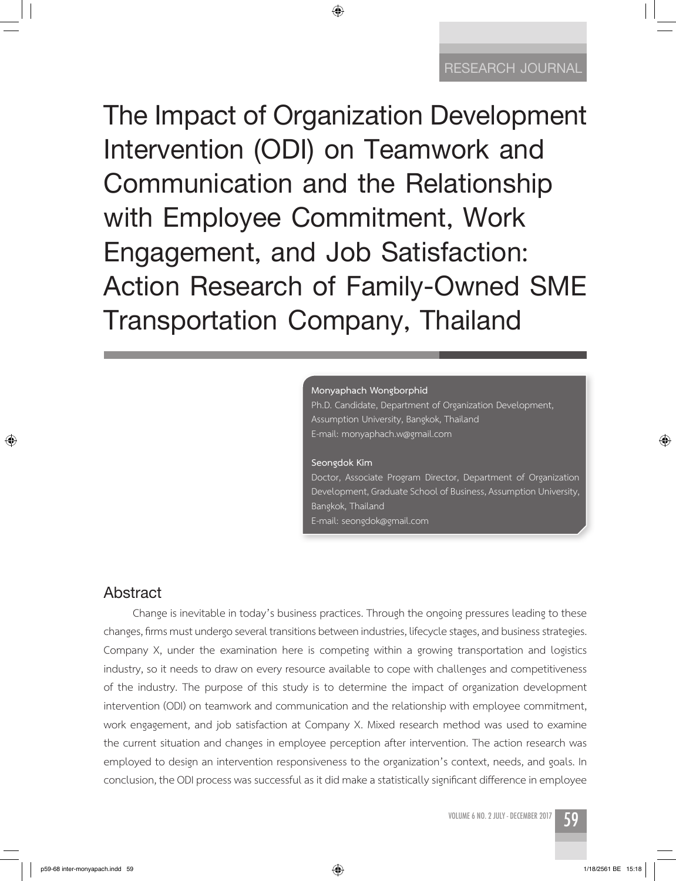**The Impact of Organization Development Intervention (ODI) on Teamwork and Communication and the Relationship with Employee Commitment, Work Engagement, and Job Satisfaction: Action Research of Family-Owned SME Transportation Company, Thailand**

◈

#### **Monyaphach Wongborphid**

Ph.D. Candidate, Department of Organization Development, Assumption University, Bangkok, Thailand E-mail: monyaphach.w@gmail.com

#### **Seongdok Kim**

Doctor, Associate Program Director, Department of Organization Development, Graduate School of Business, Assumption University, Bangkok, Thailand E-mail: seongdok@gmail.com

# **Abstract**

↔

Change is inevitable in today's business practices. Through the ongoing pressures leading to these changes, firms must undergo several transitions between industries, lifecycle stages, and business strategies. Company X, under the examination here is competing within a growing transportation and logistics industry, so it needs to draw on every resource available to cope with challenges and competitiveness of the industry. The purpose of this study is to determine the impact of organization development intervention (ODI) on teamwork and communication and the relationship with employee commitment, work engagement, and job satisfaction at Company X. Mixed research method was used to examine the current situation and changes in employee perception after intervention. The action research was employed to design an intervention responsiveness to the organization's context, needs, and goals. In conclusion, the ODI process was successful as it did make a statistically significant difference in employee

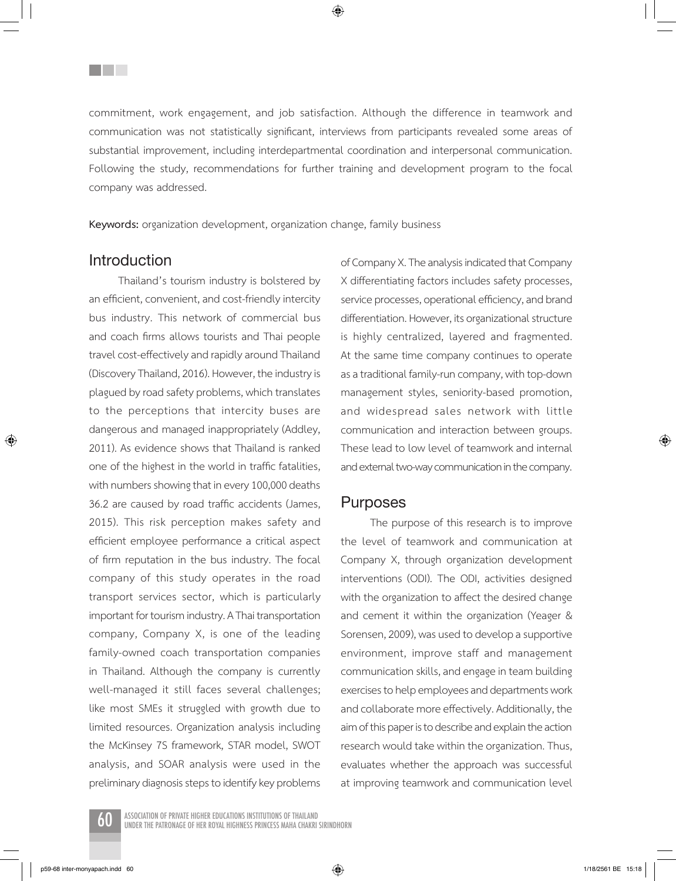commitment, work engagement, and job satisfaction. Although the difference in teamwork and communication was not statistically significant, interviews from participants revealed some areas of substantial improvement, including interdepartmental coordination and interpersonal communication. Following the study, recommendations for further training and development program to the focal company was addressed.

**Keywords:** organization development, organization change, family business

### **Introduction**

⊕

<u>Filmen</u>

Thailand's tourism industry is bolstered by an efficient, convenient, and cost-friendly intercity bus industry. This network of commercial bus and coach firms allows tourists and Thai people travel cost-effectively and rapidly around Thailand (Discovery Thailand, 2016). However, the industry is plagued by road safety problems, which translates to the perceptions that intercity buses are dangerous and managed inappropriately (Addley, 2011). As evidence shows that Thailand is ranked one of the highest in the world in traffic fatalities, with numbers showing that in every 100,000 deaths 36.2 are caused by road traffic accidents (James, 2015). This risk perception makes safety and efficient employee performance a critical aspect of firm reputation in the bus industry. The focal company of this study operates in the road transport services sector, which is particularly important for tourism industry. A Thai transportation company, Company X, is one of the leading family-owned coach transportation companies in Thailand. Although the company is currently well-managed it still faces several challenges; like most SMEs it struggled with growth due to limited resources. Organization analysis including the McKinsey 7S framework, STAR model, SWOT analysis, and SOAR analysis were used in the preliminary diagnosis steps to identify key problems of Company X. The analysis indicated that Company X differentiating factors includes safety processes, service processes, operational efficiency, and brand differentiation. However, its organizational structure is highly centralized, layered and fragmented. At the same time company continues to operate as a traditional family-run company, with top-down management styles, seniority-based promotion, and widespread sales network with little communication and interaction between groups. These lead to low level of teamwork and internal and external two-way communication in the company.

### **Purposes**

The purpose of this research is to improve the level of teamwork and communication at Company X, through organization development interventions (ODI). The ODI, activities designed with the organization to affect the desired change and cement it within the organization (Yeager & Sorensen, 2009), was used to develop a supportive environment, improve staff and management communication skills, and engage in team building exercises to help employees and departments work and collaborate more effectively. Additionally, the aim of this paper is to describe and explain the action research would take within the organization. Thus, evaluates whether the approach was successful at improving teamwork and communication level



Association of Private Higher Educations Institutions of Thailand 60 under The Patronage of Her Royal Highness Princess Maha Chakri Sirindhorn

p59-68 inter-monyapach.indd 60 15:18

⊕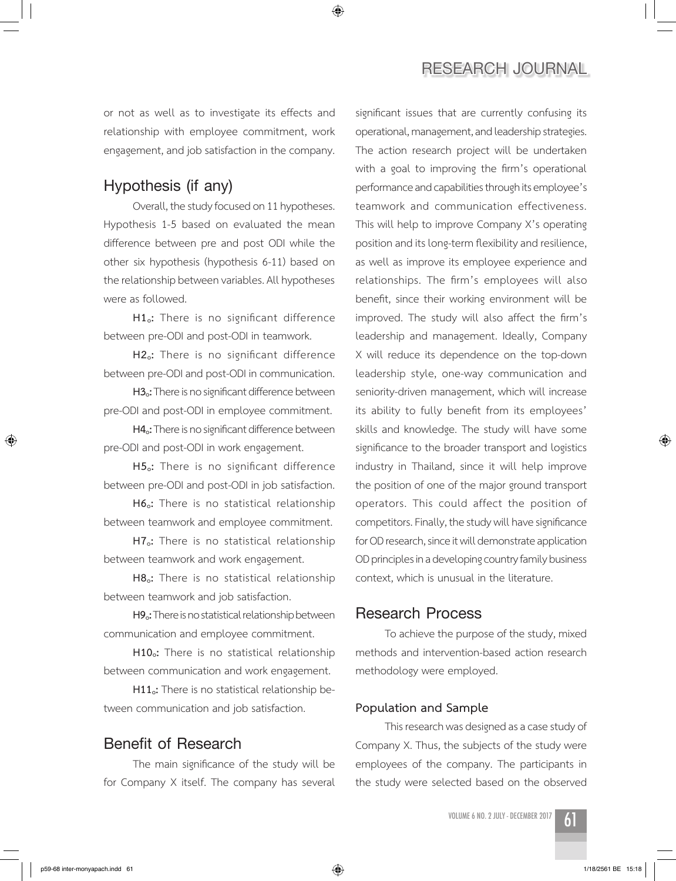# **Research JOURNAL**

or not as well as to investigate its effects and relationship with employee commitment, work engagement, and job satisfaction in the company.

◈

# **Hypothesis (if any)**

Overall, the study focused on 11 hypotheses. Hypothesis 1-5 based on evaluated the mean difference between pre and post ODI while the other six hypothesis (hypothesis 6-11) based on the relationship between variables. All hypotheses were as followed.

**H1o:** There is no significant difference between pre-ODI and post-ODI in teamwork.

**H2o:** There is no significant difference between pre-ODI and post-ODI in communication.

**H3o:** There is no significant difference between pre-ODI and post-ODI in employee commitment.

**H4o:** There is no significant difference between pre-ODI and post-ODI in work engagement.

**H5o:** There is no significant difference between pre-ODI and post-ODI in job satisfaction.

**H6o:** There is no statistical relationship between teamwork and employee commitment.

**H7o:** There is no statistical relationship between teamwork and work engagement.

**H8o:** There is no statistical relationship between teamwork and job satisfaction.

**H9o:** There is no statistical relationship between communication and employee commitment.

H10<sub>o</sub>: There is no statistical relationship between communication and work engagement.

**H11o:** There is no statistical relationship between communication and job satisfaction.

## **Benefit of Research**

The main significance of the study will be for Company X itself. The company has several significant issues that are currently confusing its operational, management, and leadership strategies. The action research project will be undertaken with a goal to improving the firm's operational performance and capabilities through its employee's teamwork and communication effectiveness. This will help to improve Company X's operating position and its long-term flexibility and resilience, as well as improve its employee experience and relationships. The firm's employees will also benefit, since their working environment will be improved. The study will also affect the firm's leadership and management. Ideally, Company X will reduce its dependence on the top-down leadership style, one-way communication and seniority-driven management, which will increase its ability to fully benefit from its employees' skills and knowledge. The study will have some significance to the broader transport and logistics industry in Thailand, since it will help improve the position of one of the major ground transport operators. This could affect the position of competitors. Finally, the study will have significance for OD research, since it will demonstrate application OD principles in a developing country family business context, which is unusual in the literature.

# **Research Process**

To achieve the purpose of the study, mixed methods and intervention-based action research methodology were employed.

### **Population and Sample**

This research was designed as a case study of Company X. Thus, the subjects of the study were employees of the company. The participants in the study were selected based on the observed

VOLUME 6 NO. 2 JULY - DECEMBER 2017



⊕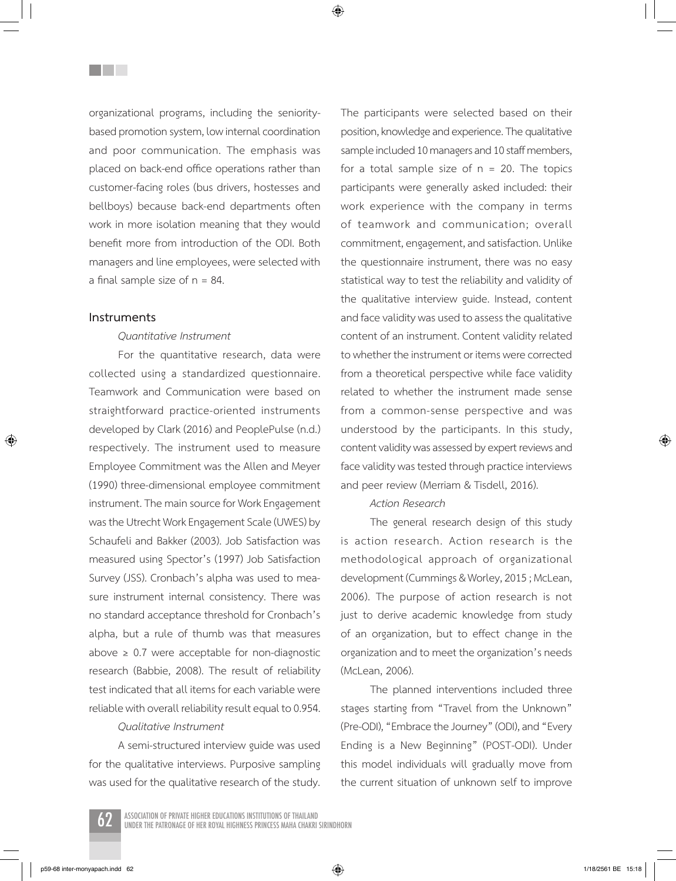organizational programs, including the senioritybased promotion system, low internal coordination and poor communication. The emphasis was placed on back-end office operations rather than customer-facing roles (bus drivers, hostesses and bellboys) because back-end departments often work in more isolation meaning that they would benefit more from introduction of the ODI. Both managers and line employees, were selected with a final sample size of  $n = 84$ .

### **Instruments**

⊕

<u>Filmen</u>

### *Quantitative Instrument*

For the quantitative research, data were collected using a standardized questionnaire. Teamwork and Communication were based on straightforward practice-oriented instruments developed by Clark (2016) and PeoplePulse (n.d.) respectively. The instrument used to measure Employee Commitment was the Allen and Meyer (1990) three-dimensional employee commitment instrument. The main source for Work Engagement was the Utrecht Work Engagement Scale (UWES) by Schaufeli and Bakker (2003). Job Satisfaction was measured using Spector's (1997) Job Satisfaction Survey (JSS). Cronbach's alpha was used to measure instrument internal consistency. There was no standard acceptance threshold for Cronbach's alpha, but a rule of thumb was that measures above  $\geq$  0.7 were acceptable for non-diagnostic research (Babbie, 2008). The result of reliability test indicated that all items for each variable were reliable with overall reliability result equal to 0.954.

#### *Qualitative Instrument*

A semi-structured interview guide was used for the qualitative interviews. Purposive sampling was used for the qualitative research of the study. The participants were selected based on their position, knowledge and experience. The qualitative sample included 10 managers and 10 staff members, for a total sample size of  $n = 20$ . The topics participants were generally asked included: their work experience with the company in terms of teamwork and communication; overall commitment, engagement, and satisfaction. Unlike the questionnaire instrument, there was no easy statistical way to test the reliability and validity of the qualitative interview guide. Instead, content and face validity was used to assess the qualitative content of an instrument. Content validity related to whether the instrument or items were corrected from a theoretical perspective while face validity related to whether the instrument made sense from a common-sense perspective and was understood by the participants. In this study, content validity was assessed by expert reviews and face validity was tested through practice interviews and peer review (Merriam & Tisdell, 2016).

#### *Action Research*

The general research design of this study is action research. Action research is the methodological approach of organizational development (Cummings & Worley, 2015 ; McLean, 2006). The purpose of action research is not just to derive academic knowledge from study of an organization, but to effect change in the organization and to meet the organization's needs (McLean, 2006).

The planned interventions included three stages starting from "Travel from the Unknown" (Pre-ODI), "Embrace the Journey" (ODI), and "Every Ending is a New Beginning" (POST-ODI). Under this model individuals will gradually move from the current situation of unknown self to improve



p59-68 inter-monyapach.indd 62 1/18/2561 BE 15:18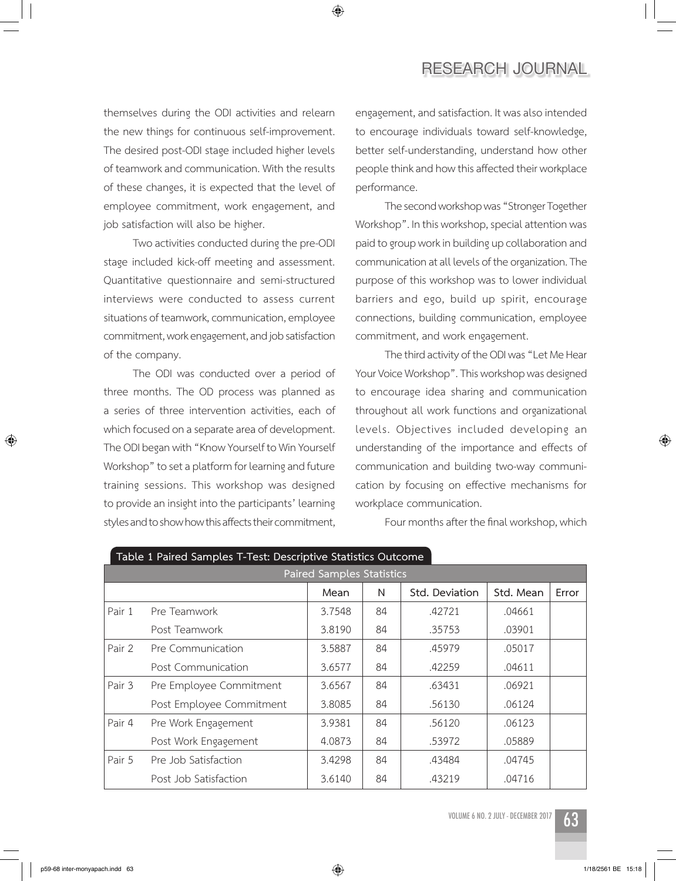# **Research JOURNAL**

themselves during the ODI activities and relearn the new things for continuous self-improvement. The desired post-ODI stage included higher levels of teamwork and communication. With the results of these changes, it is expected that the level of employee commitment, work engagement, and job satisfaction will also be higher.

Two activities conducted during the pre-ODI stage included kick-off meeting and assessment. Quantitative questionnaire and semi-structured interviews were conducted to assess current situations of teamwork, communication, employee commitment, work engagement, and job satisfaction of the company.

The ODI was conducted over a period of three months. The OD process was planned as a series of three intervention activities, each of which focused on a separate area of development. The ODI began with "Know Yourself to Win Yourself Workshop" to set a platform for learning and future training sessions. This workshop was designed to provide an insight into the participants' learning styles and to show how this affects their commitment,

engagement, and satisfaction. It was also intended to encourage individuals toward self-knowledge, better self-understanding, understand how other people think and how this affected their workplace performance.

The second workshop was "Stronger Together Workshop". In this workshop, special attention was paid to group work in building up collaboration and communication at all levels of the organization. The purpose of this workshop was to lower individual barriers and ego, build up spirit, encourage connections, building communication, employee commitment, and work engagement.

The third activity of the ODI was "Let Me Hear Your Voice Workshop". This workshop was designed to encourage idea sharing and communication throughout all work functions and organizational levels. Objectives included developing an understanding of the importance and effects of communication and building two-way communication by focusing on effective mechanisms for workplace communication.

Four months after the final workshop, which

| Table 1 Tailed Jampies T-Test. Descriptive Jiansiics Outcome |                                  |        |    |                |           |       |  |
|--------------------------------------------------------------|----------------------------------|--------|----|----------------|-----------|-------|--|
|                                                              | <b>Paired Samples Statistics</b> |        |    |                |           |       |  |
|                                                              |                                  | Mean   | N  | Std. Deviation | Std. Mean | Error |  |
| Pair 1                                                       | Pre Teamwork                     | 3.7548 | 84 | .42721         | .04661    |       |  |
|                                                              | Post Teamwork                    | 3.8190 | 84 | .35753         | .03901    |       |  |
| Pair 2                                                       | Pre Communication                | 3.5887 | 84 | .45979         | .05017    |       |  |
|                                                              | Post Communication               | 3.6577 | 84 | .42259         | .04611    |       |  |
| Pair 3                                                       | Pre Employee Commitment          | 3.6567 | 84 | .63431         | .06921    |       |  |
|                                                              | Post Employee Commitment         | 3.8085 | 84 | .56130         | .06124    |       |  |
| Pair 4                                                       | Pre Work Engagement              | 3.9381 | 84 | .56120         | .06123    |       |  |
|                                                              | Post Work Engagement             | 4.0873 | 84 | .53972         | .05889    |       |  |
| Pair 5                                                       | Pre Job Satisfaction             | 3.4298 | 84 | .43484         | .04745    |       |  |
|                                                              | Post Job Satisfaction            | 3.6140 | 84 | .43219         | .04716    |       |  |

◈

|--|

VOLUME 6 NO. 2 JULY - DECEMBER 2017



⊕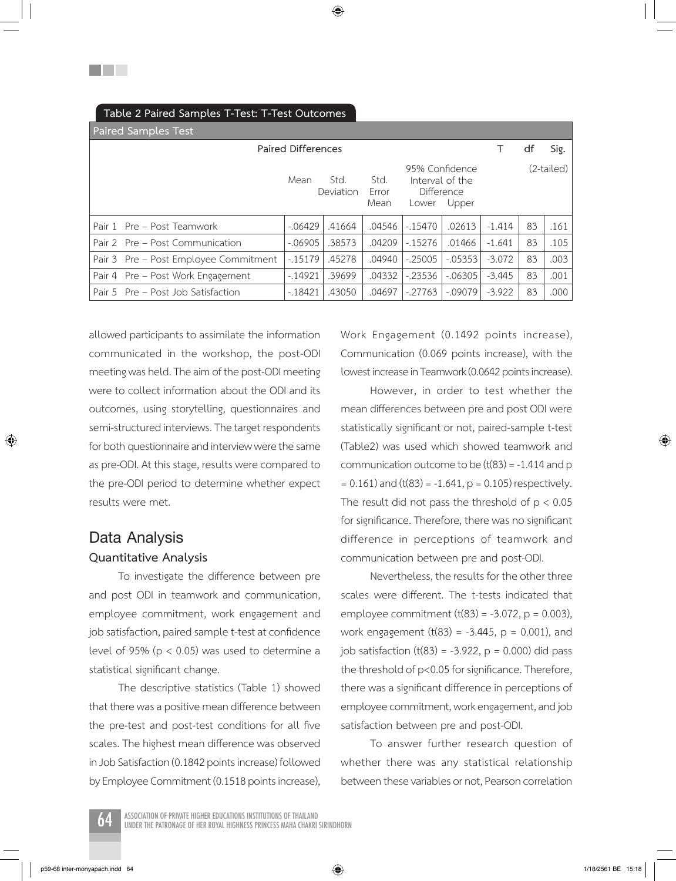| $\sim$ $\sim$ $\sim$ $\sim$ $\sim$ $\sim$ $\sim$ $\sim$ |           |                   |                       |                     |                                            |          |    |            |
|---------------------------------------------------------|-----------|-------------------|-----------------------|---------------------|--------------------------------------------|----------|----|------------|
| <b>Paired Samples Test</b>                              |           |                   |                       |                     |                                            |          |    |            |
| <b>Paired Differences</b>                               |           |                   |                       |                     |                                            |          | df | Sig.       |
|                                                         | Mean      | Std.<br>Deviation | Std.<br>Error<br>Mean | Difference<br>Lower | 95% Confidence<br>Interval of the<br>Upper |          |    | (2-tailed) |
| Pair 1 Pre - Post Teamwork                              | $-.06429$ | .41664            | .04546                | $-15470$            | .02613                                     | $-1.414$ | 83 | .161       |
| Pair 2 Pre - Post Communication                         | $-.06905$ | .38573            | .04209                | $-15276$            | .01466                                     | $-1.641$ | 83 | .105       |
| Pair 3 Pre – Post Employee Commitment                   | $-15179$  | .45278            | .04940                | $-.25005$           | $-0.05353$                                 | $-3.072$ | 83 | .003       |
| Pair 4 Pre – Post Work Engagement                       | $-14921$  | .39699            | .04332                | $-23536$            | $-06305$                                   | $-3.445$ | 83 | .001       |
| Pair 5 Pre – Post Job Satisfaction                      | $-18421$  | .43050            | .04697                | $-.27763$           | $-.09079$                                  | $-3.922$ | 83 | .000       |

## **Table 2 Paired Samples T-Test: T-Test Outcomes**

an Barbara

allowed participants to assimilate the information communicated in the workshop, the post-ODI meeting was held. The aim of the post-ODI meeting were to collect information about the ODI and its outcomes, using storytelling, questionnaires and semi-structured interviews. The target respondents for both questionnaire and interview were the same as pre-ODI. At this stage, results were compared to the pre-ODI period to determine whether expect results were met.

# **Data Analysis Quantitative Analysis**

⊕

To investigate the difference between pre and post ODI in teamwork and communication, employee commitment, work engagement and job satisfaction, paired sample t-test at confidence level of 95% ( $p < 0.05$ ) was used to determine a statistical significant change.

The descriptive statistics (Table 1) showed that there was a positive mean difference between the pre-test and post-test conditions for all five scales. The highest mean difference was observed in Job Satisfaction (0.1842 points increase) followed by Employee Commitment (0.1518 points increase), Work Engagement (0.1492 points increase), Communication (0.069 points increase), with the lowest increase in Teamwork (0.0642 points increase).

However, in order to test whether the mean differences between pre and post ODI were statistically significant or not, paired-sample t-test (Table2) was used which showed teamwork and communication outcome to be  $(t(83) = -1.414$  and p  $= 0.161$ ) and (t(83) = -1.641, p = 0.105) respectively. The result did not pass the threshold of  $p < 0.05$ for significance. Therefore, there was no significant difference in perceptions of teamwork and communication between pre and post-ODI.

Nevertheless, the results for the other three scales were different. The t-tests indicated that employee commitment  $(t(83) = -3.072, p = 0.003)$ , work engagement (t(83) =  $-3.445$ , p = 0.001), and job satisfaction  $(t(83) = -3.922, p = 0.000)$  did pass the threshold of p<0.05 for significance. Therefore, there was a significant difference in perceptions of employee commitment, work engagement, and job satisfaction between pre and post-ODI.

To answer further research question of whether there was any statistical relationship between these variables or not, Pearson correlation

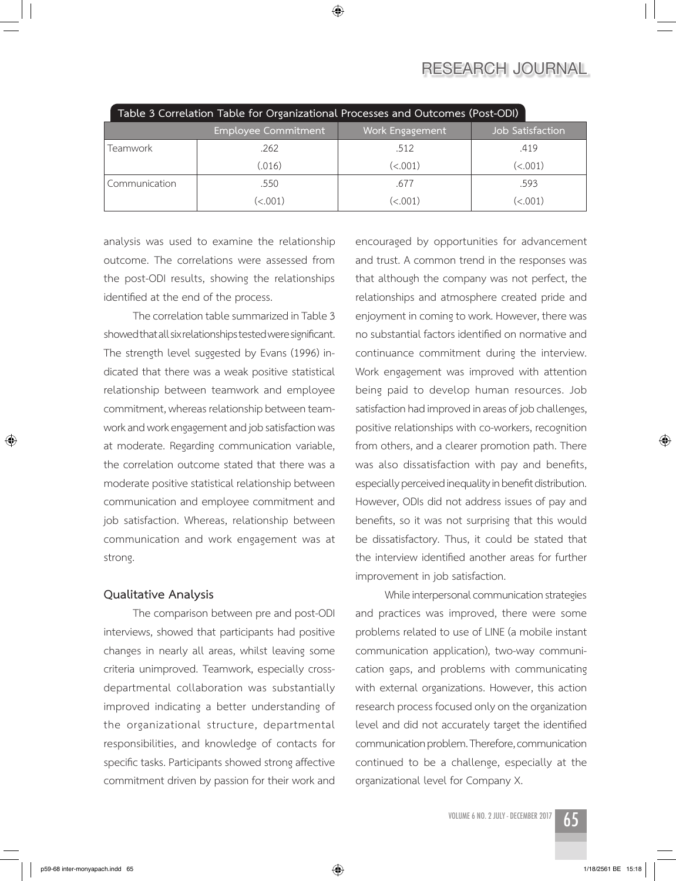# **Research JOURNAL**

| Table 3 Correlation Table for Organizational Processes and Outcomes (Post-ODI) |                            |                      |                  |  |  |  |
|--------------------------------------------------------------------------------|----------------------------|----------------------|------------------|--|--|--|
|                                                                                | <b>Employee Commitment</b> | Work Engagement      | Job Satisfaction |  |  |  |
| Teamwork                                                                       | .262                       | .512                 | .419             |  |  |  |
|                                                                                | (.016)                     | (< .001)             | (<.001)          |  |  |  |
| Communication                                                                  | .550                       | .677                 | .593             |  |  |  |
|                                                                                | $\left( <.001\right)$      | $\left(<.001\right)$ | (<.001)          |  |  |  |

analysis was used to examine the relationship outcome. The correlations were assessed from the post-ODI results, showing the relationships identified at the end of the process.

The correlation table summarized in Table 3 showed that all six relationships tested were significant. The strength level suggested by Evans (1996) indicated that there was a weak positive statistical relationship between teamwork and employee commitment, whereas relationship between teamwork and work engagement and job satisfaction was at moderate. Regarding communication variable, the correlation outcome stated that there was a moderate positive statistical relationship between communication and employee commitment and job satisfaction. Whereas, relationship between communication and work engagement was at strong.

### **Qualitative Analysis**

The comparison between pre and post-ODI interviews, showed that participants had positive changes in nearly all areas, whilst leaving some criteria unimproved. Teamwork, especially crossdepartmental collaboration was substantially improved indicating a better understanding of the organizational structure, departmental responsibilities, and knowledge of contacts for specific tasks. Participants showed strong affective commitment driven by passion for their work and

encouraged by opportunities for advancement and trust. A common trend in the responses was that although the company was not perfect, the relationships and atmosphere created pride and enjoyment in coming to work. However, there was no substantial factors identified on normative and continuance commitment during the interview. Work engagement was improved with attention being paid to develop human resources. Job satisfaction had improved in areas of job challenges, positive relationships with co-workers, recognition from others, and a clearer promotion path. There was also dissatisfaction with pay and benefits, especially perceived inequality in benefit distribution. However, ODIs did not address issues of pay and benefits, so it was not surprising that this would be dissatisfactory. Thus, it could be stated that the interview identified another areas for further improvement in job satisfaction.

While interpersonal communication strategies and practices was improved, there were some problems related to use of LINE (a mobile instant communication application), two-way communication gaps, and problems with communicating with external organizations. However, this action research process focused only on the organization level and did not accurately target the identified communication problem. Therefore, communication continued to be a challenge, especially at the organizational level for Company X.

VOLUME 6 NO. 2 JULY - DECEMBER 2017  $65$ 



⊕

⊕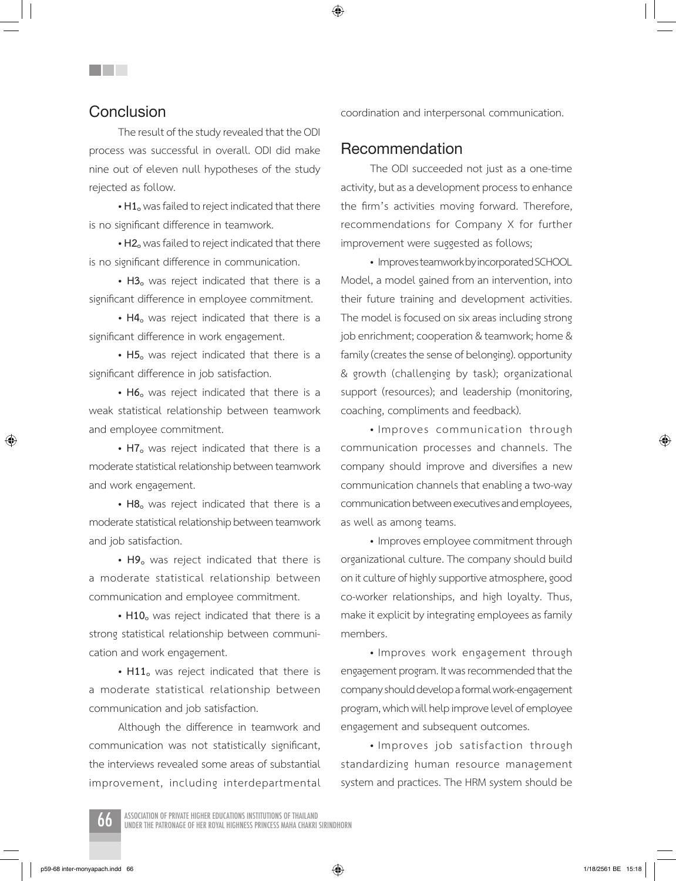# **Conclusion**

a katika s

The result of the study revealed that the ODI process was successful in overall. ODI did make nine out of eleven null hypotheses of the study rejected as follow.

**• H1o** was failed to reject indicated that there is no significant difference in teamwork.

**• H2o** was failed to reject indicated that there is no significant difference in communication.

**• H3o** was reject indicated that there is a significant difference in employee commitment.

• H4<sub>o</sub> was reject indicated that there is a significant difference in work engagement.

• H5<sub>o</sub> was reject indicated that there is a significant difference in job satisfaction.

• H6<sub>o</sub> was reject indicated that there is a weak statistical relationship between teamwork and employee commitment.

• H7<sub>o</sub> was reject indicated that there is a moderate statistical relationship between teamwork and work engagement.

• H8<sub>o</sub> was reject indicated that there is a moderate statistical relationship between teamwork and job satisfaction.

• H9<sub>o</sub> was reject indicated that there is a moderate statistical relationship between communication and employee commitment.

• H10<sub>o</sub> was reject indicated that there is a strong statistical relationship between communication and work engagement.

• H11<sub>o</sub> was reject indicated that there is a moderate statistical relationship between communication and job satisfaction.

Although the difference in teamwork and communication was not statistically significant, the interviews revealed some areas of substantial improvement, including interdepartmental coordination and interpersonal communication.

### **Recommendation**

The ODI succeeded not just as a one-time activity, but as a development process to enhance the firm's activities moving forward. Therefore, recommendations for Company X for further improvement were suggested as follows;

• Improves teamwork by incorporated SCHOOL Model, a model gained from an intervention, into their future training and development activities. The model is focused on six areas including strong job enrichment; cooperation & teamwork; home & family (creates the sense of belonging). opportunity & growth (challenging by task); organizational support (resources); and leadership (monitoring, coaching, compliments and feedback).

• Improves communication through communication processes and channels. The company should improve and diversifies a new communication channels that enabling a two-way communication between executives and employees, as well as among teams.

• Improves employee commitment through organizational culture. The company should build on it culture of highly supportive atmosphere, good co-worker relationships, and high loyalty. Thus, make it explicit by integrating employees as family members.

• Improves work engagement through engagement program. It was recommended that the company should develop a formal work-engagement program, which will help improve level of employee engagement and subsequent outcomes.

• Improves job satisfaction through standardizing human resource management system and practices. The HRM system should be



⊕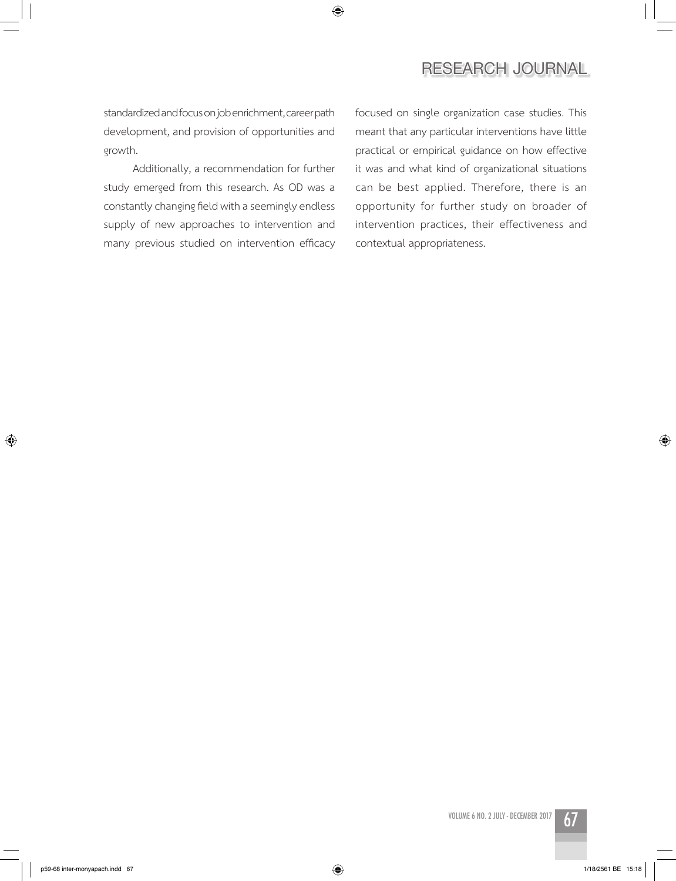## $\bigoplus$

# **Research JOURNAL**

standardized and focus on job enrichment, career path development, and provision of opportunities and growth.

Additionally, a recommendation for further study emerged from this research. As OD was a constantly changing field with a seemingly endless supply of new approaches to intervention and many previous studied on intervention efficacy focused on single organization case studies. This meant that any particular interventions have little practical or empirical guidance on how effective it was and what kind of organizational situations can be best applied. Therefore, there is an opportunity for further study on broader of intervention practices, their effectiveness and contextual appropriateness.

 $\bigoplus$